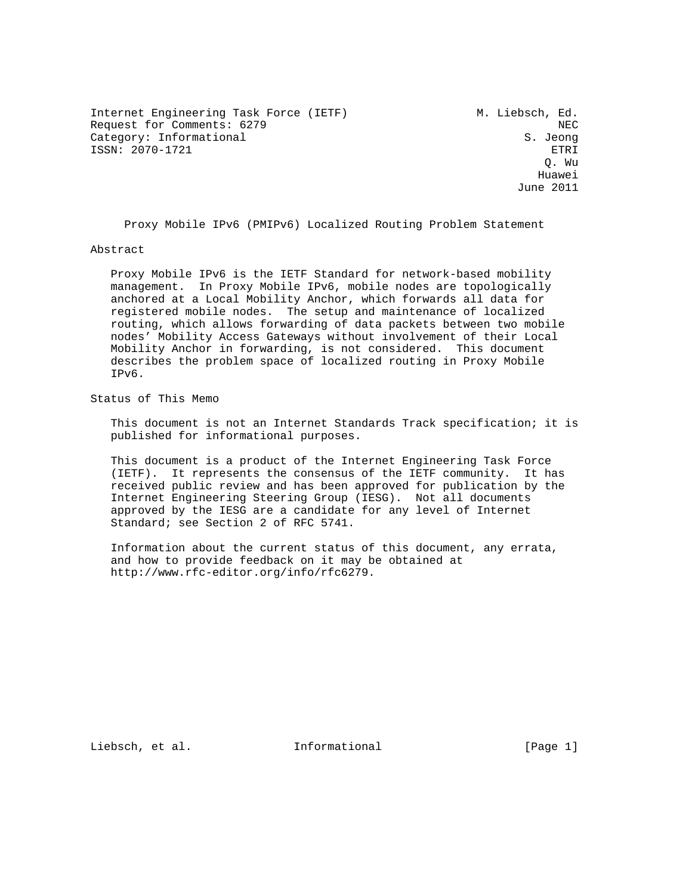Internet Engineering Task Force (IETF) M. Liebsch, Ed. Request for Comments: 6279 NEC Category: Informational S. Jeong ISSN: 2070-1721 ETRI

 Q. Wu he distributed by the control of the control of the control of the control of the control of the control of the control of the control of the control of the control of the control of the control of the control of the contr June 2011

Proxy Mobile IPv6 (PMIPv6) Localized Routing Problem Statement

#### Abstract

 Proxy Mobile IPv6 is the IETF Standard for network-based mobility management. In Proxy Mobile IPv6, mobile nodes are topologically anchored at a Local Mobility Anchor, which forwards all data for registered mobile nodes. The setup and maintenance of localized routing, which allows forwarding of data packets between two mobile nodes' Mobility Access Gateways without involvement of their Local Mobility Anchor in forwarding, is not considered. This document describes the problem space of localized routing in Proxy Mobile IPv6.

Status of This Memo

 This document is not an Internet Standards Track specification; it is published for informational purposes.

 This document is a product of the Internet Engineering Task Force (IETF). It represents the consensus of the IETF community. It has received public review and has been approved for publication by the Internet Engineering Steering Group (IESG). Not all documents approved by the IESG are a candidate for any level of Internet Standard; see Section 2 of RFC 5741.

 Information about the current status of this document, any errata, and how to provide feedback on it may be obtained at http://www.rfc-editor.org/info/rfc6279.

Liebsch, et al. 111 Informational [Page 1]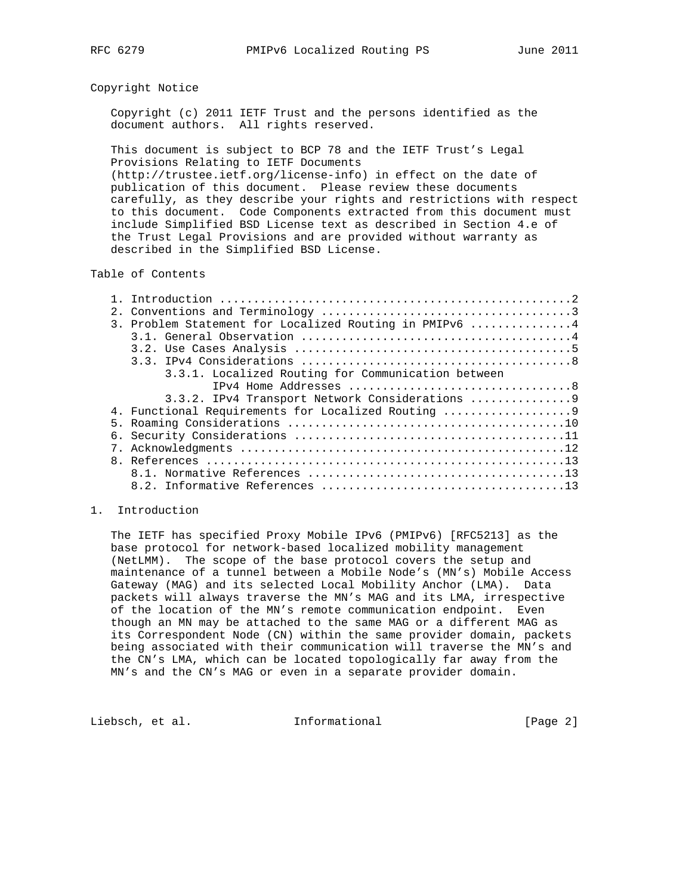#### Copyright Notice

 Copyright (c) 2011 IETF Trust and the persons identified as the document authors. All rights reserved.

 This document is subject to BCP 78 and the IETF Trust's Legal Provisions Relating to IETF Documents

 (http://trustee.ietf.org/license-info) in effect on the date of publication of this document. Please review these documents carefully, as they describe your rights and restrictions with respect to this document. Code Components extracted from this document must include Simplified BSD License text as described in Section 4.e of the Trust Legal Provisions and are provided without warranty as described in the Simplified BSD License.

# Table of Contents

|  | 3. Problem Statement for Localized Routing in PMIPv6 4 |
|--|--------------------------------------------------------|
|  |                                                        |
|  |                                                        |
|  |                                                        |
|  | 3.3.1. Localized Routing for Communication between     |
|  |                                                        |
|  |                                                        |
|  | 4. Functional Requirements for Localized Routing       |
|  |                                                        |
|  |                                                        |
|  |                                                        |
|  |                                                        |
|  |                                                        |
|  |                                                        |
|  |                                                        |

#### 1. Introduction

 The IETF has specified Proxy Mobile IPv6 (PMIPv6) [RFC5213] as the base protocol for network-based localized mobility management (NetLMM). The scope of the base protocol covers the setup and maintenance of a tunnel between a Mobile Node's (MN's) Mobile Access Gateway (MAG) and its selected Local Mobility Anchor (LMA). Data packets will always traverse the MN's MAG and its LMA, irrespective of the location of the MN's remote communication endpoint. Even though an MN may be attached to the same MAG or a different MAG as its Correspondent Node (CN) within the same provider domain, packets being associated with their communication will traverse the MN's and the CN's LMA, which can be located topologically far away from the MN's and the CN's MAG or even in a separate provider domain.

Liebsch, et al. Informational [Page 2]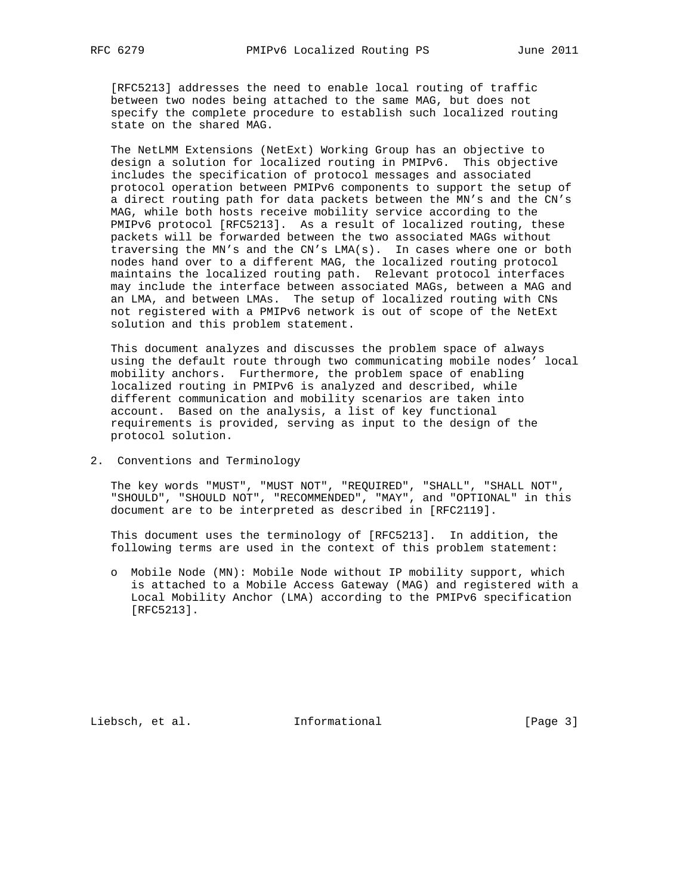[RFC5213] addresses the need to enable local routing of traffic between two nodes being attached to the same MAG, but does not specify the complete procedure to establish such localized routing state on the shared MAG.

 The NetLMM Extensions (NetExt) Working Group has an objective to design a solution for localized routing in PMIPv6. This objective includes the specification of protocol messages and associated protocol operation between PMIPv6 components to support the setup of a direct routing path for data packets between the MN's and the CN's MAG, while both hosts receive mobility service according to the PMIPv6 protocol [RFC5213]. As a result of localized routing, these packets will be forwarded between the two associated MAGs without traversing the MN's and the CN's LMA(s). In cases where one or both nodes hand over to a different MAG, the localized routing protocol maintains the localized routing path. Relevant protocol interfaces may include the interface between associated MAGs, between a MAG and an LMA, and between LMAs. The setup of localized routing with CNs not registered with a PMIPv6 network is out of scope of the NetExt solution and this problem statement.

 This document analyzes and discusses the problem space of always using the default route through two communicating mobile nodes' local mobility anchors. Furthermore, the problem space of enabling localized routing in PMIPv6 is analyzed and described, while different communication and mobility scenarios are taken into account. Based on the analysis, a list of key functional requirements is provided, serving as input to the design of the protocol solution.

2. Conventions and Terminology

 The key words "MUST", "MUST NOT", "REQUIRED", "SHALL", "SHALL NOT", "SHOULD", "SHOULD NOT", "RECOMMENDED", "MAY", and "OPTIONAL" in this document are to be interpreted as described in [RFC2119].

 This document uses the terminology of [RFC5213]. In addition, the following terms are used in the context of this problem statement:

 o Mobile Node (MN): Mobile Node without IP mobility support, which is attached to a Mobile Access Gateway (MAG) and registered with a Local Mobility Anchor (LMA) according to the PMIPv6 specification [RFC5213].

Liebsch, et al. 1nformational [Page 3]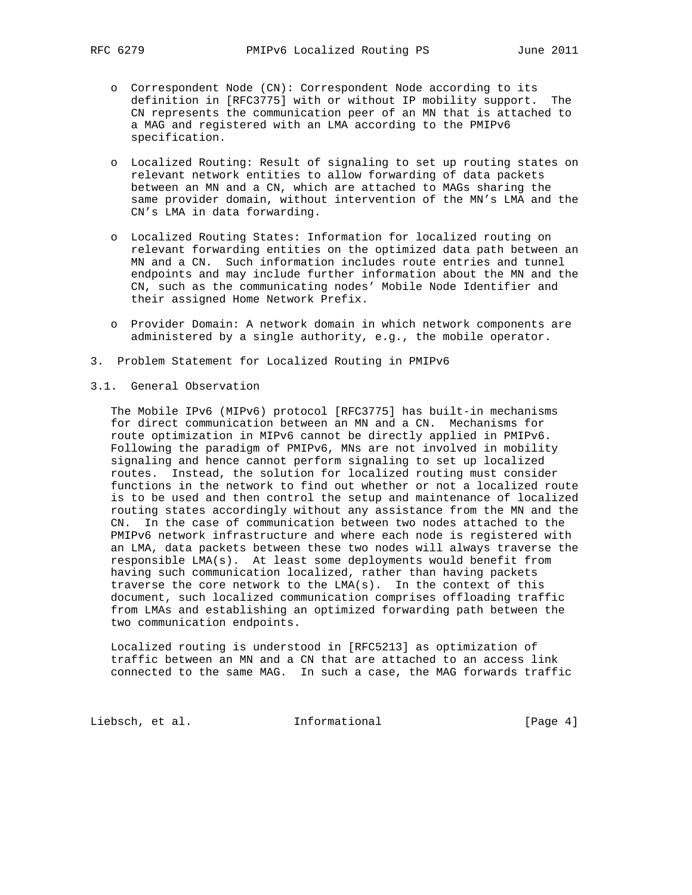- o Correspondent Node (CN): Correspondent Node according to its definition in [RFC3775] with or without IP mobility support. The CN represents the communication peer of an MN that is attached to a MAG and registered with an LMA according to the PMIPv6 specification.
- o Localized Routing: Result of signaling to set up routing states on relevant network entities to allow forwarding of data packets between an MN and a CN, which are attached to MAGs sharing the same provider domain, without intervention of the MN's LMA and the CN's LMA in data forwarding.
- o Localized Routing States: Information for localized routing on relevant forwarding entities on the optimized data path between an MN and a CN. Such information includes route entries and tunnel endpoints and may include further information about the MN and the CN, such as the communicating nodes' Mobile Node Identifier and their assigned Home Network Prefix.
- o Provider Domain: A network domain in which network components are administered by a single authority, e.g., the mobile operator.
- 3. Problem Statement for Localized Routing in PMIPv6
- 3.1. General Observation

 The Mobile IPv6 (MIPv6) protocol [RFC3775] has built-in mechanisms for direct communication between an MN and a CN. Mechanisms for route optimization in MIPv6 cannot be directly applied in PMIPv6. Following the paradigm of PMIPv6, MNs are not involved in mobility signaling and hence cannot perform signaling to set up localized routes. Instead, the solution for localized routing must consider functions in the network to find out whether or not a localized route is to be used and then control the setup and maintenance of localized routing states accordingly without any assistance from the MN and the CN. In the case of communication between two nodes attached to the PMIPv6 network infrastructure and where each node is registered with an LMA, data packets between these two nodes will always traverse the responsible LMA(s). At least some deployments would benefit from having such communication localized, rather than having packets traverse the core network to the LMA(s). In the context of this document, such localized communication comprises offloading traffic from LMAs and establishing an optimized forwarding path between the two communication endpoints.

 Localized routing is understood in [RFC5213] as optimization of traffic between an MN and a CN that are attached to an access link connected to the same MAG. In such a case, the MAG forwards traffic

Liebsch, et al. 1nformational [Page 4]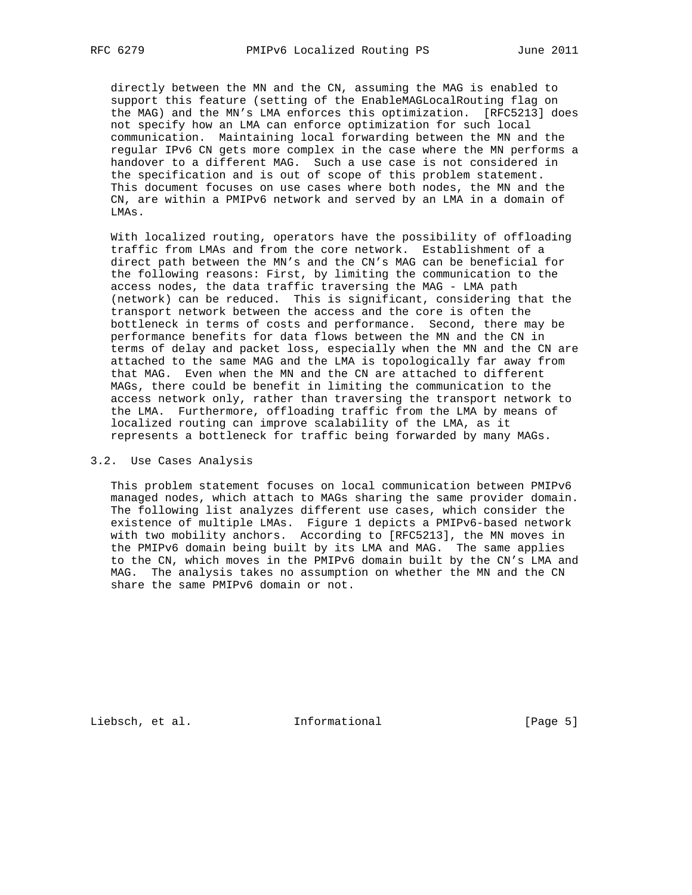directly between the MN and the CN, assuming the MAG is enabled to support this feature (setting of the EnableMAGLocalRouting flag on the MAG) and the MN's LMA enforces this optimization. [RFC5213] does not specify how an LMA can enforce optimization for such local communication. Maintaining local forwarding between the MN and the regular IPv6 CN gets more complex in the case where the MN performs a handover to a different MAG. Such a use case is not considered in the specification and is out of scope of this problem statement. This document focuses on use cases where both nodes, the MN and the CN, are within a PMIPv6 network and served by an LMA in a domain of LMAs.

 With localized routing, operators have the possibility of offloading traffic from LMAs and from the core network. Establishment of a direct path between the MN's and the CN's MAG can be beneficial for the following reasons: First, by limiting the communication to the access nodes, the data traffic traversing the MAG - LMA path (network) can be reduced. This is significant, considering that the transport network between the access and the core is often the bottleneck in terms of costs and performance. Second, there may be performance benefits for data flows between the MN and the CN in terms of delay and packet loss, especially when the MN and the CN are attached to the same MAG and the LMA is topologically far away from that MAG. Even when the MN and the CN are attached to different MAGs, there could be benefit in limiting the communication to the access network only, rather than traversing the transport network to the LMA. Furthermore, offloading traffic from the LMA by means of localized routing can improve scalability of the LMA, as it represents a bottleneck for traffic being forwarded by many MAGs.

## 3.2. Use Cases Analysis

 This problem statement focuses on local communication between PMIPv6 managed nodes, which attach to MAGs sharing the same provider domain. The following list analyzes different use cases, which consider the existence of multiple LMAs. Figure 1 depicts a PMIPv6-based network with two mobility anchors. According to [RFC5213], the MN moves in the PMIPv6 domain being built by its LMA and MAG. The same applies to the CN, which moves in the PMIPv6 domain built by the CN's LMA and MAG. The analysis takes no assumption on whether the MN and the CN share the same PMIPv6 domain or not.

Liebsch, et al. 1nformational [Page 5]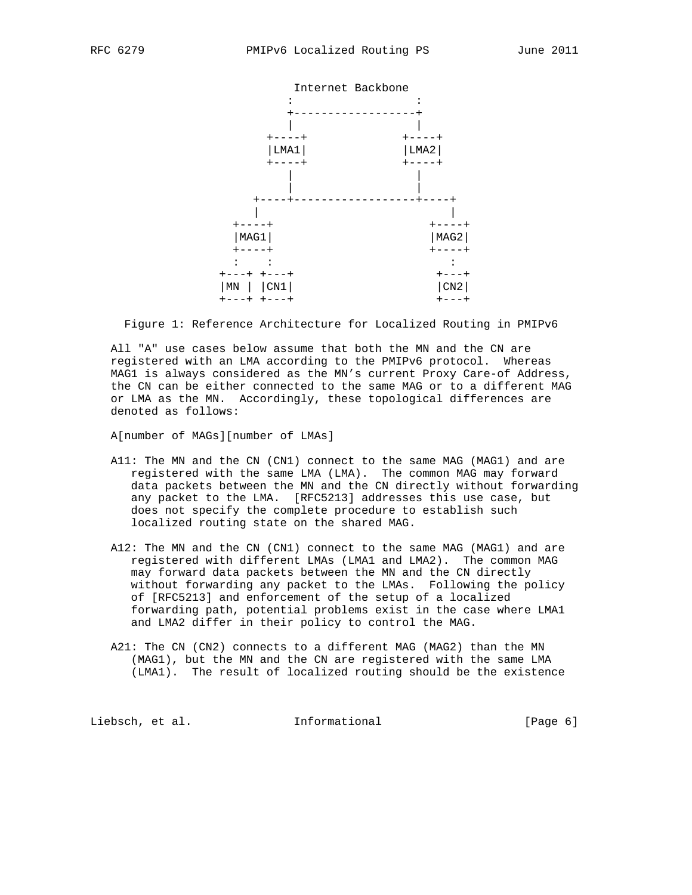

Figure 1: Reference Architecture for Localized Routing in PMIPv6

 All "A" use cases below assume that both the MN and the CN are registered with an LMA according to the PMIPv6 protocol. Whereas MAG1 is always considered as the MN's current Proxy Care-of Address, the CN can be either connected to the same MAG or to a different MAG or LMA as the MN. Accordingly, these topological differences are denoted as follows:

A[number of MAGs][number of LMAs]

- A11: The MN and the CN (CN1) connect to the same MAG (MAG1) and are registered with the same LMA (LMA). The common MAG may forward data packets between the MN and the CN directly without forwarding any packet to the LMA. [RFC5213] addresses this use case, but does not specify the complete procedure to establish such localized routing state on the shared MAG.
- A12: The MN and the CN (CN1) connect to the same MAG (MAG1) and are registered with different LMAs (LMA1 and LMA2). The common MAG may forward data packets between the MN and the CN directly without forwarding any packet to the LMAs. Following the policy of [RFC5213] and enforcement of the setup of a localized forwarding path, potential problems exist in the case where LMA1 and LMA2 differ in their policy to control the MAG.
- A21: The CN (CN2) connects to a different MAG (MAG2) than the MN (MAG1), but the MN and the CN are registered with the same LMA (LMA1). The result of localized routing should be the existence

Liebsch, et al. 1nformational [Page 6]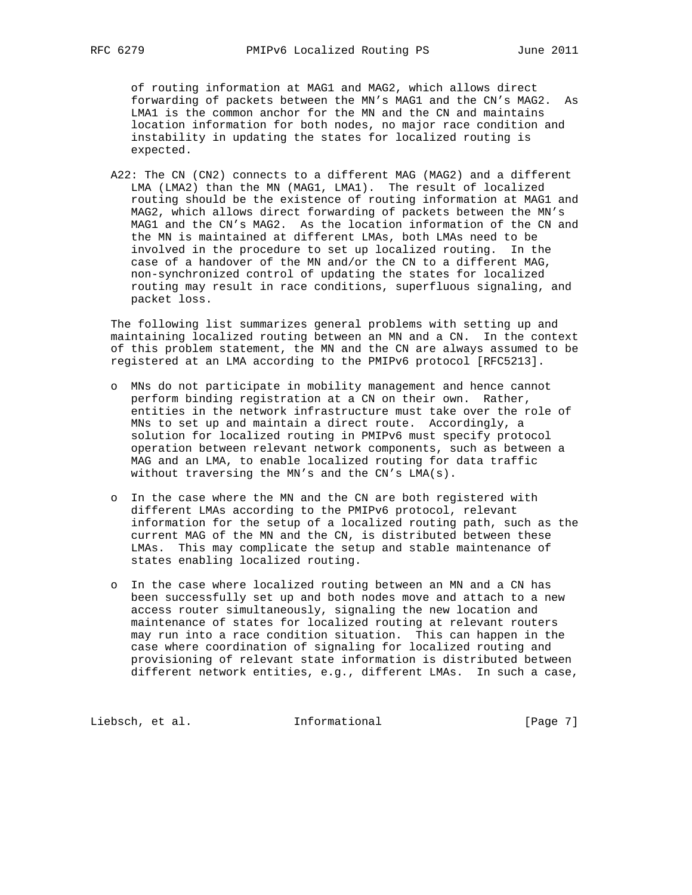of routing information at MAG1 and MAG2, which allows direct forwarding of packets between the MN's MAG1 and the CN's MAG2. As LMA1 is the common anchor for the MN and the CN and maintains location information for both nodes, no major race condition and instability in updating the states for localized routing is expected.

 A22: The CN (CN2) connects to a different MAG (MAG2) and a different LMA (LMA2) than the MN (MAG1, LMA1). The result of localized routing should be the existence of routing information at MAG1 and MAG2, which allows direct forwarding of packets between the MN's MAG1 and the CN's MAG2. As the location information of the CN and the MN is maintained at different LMAs, both LMAs need to be involved in the procedure to set up localized routing. In the case of a handover of the MN and/or the CN to a different MAG, non-synchronized control of updating the states for localized routing may result in race conditions, superfluous signaling, and packet loss.

 The following list summarizes general problems with setting up and maintaining localized routing between an MN and a CN. In the context of this problem statement, the MN and the CN are always assumed to be registered at an LMA according to the PMIPv6 protocol [RFC5213].

- o MNs do not participate in mobility management and hence cannot perform binding registration at a CN on their own. Rather, entities in the network infrastructure must take over the role of MNs to set up and maintain a direct route. Accordingly, a solution for localized routing in PMIPv6 must specify protocol operation between relevant network components, such as between a MAG and an LMA, to enable localized routing for data traffic without traversing the MN's and the CN's LMA(s).
- o In the case where the MN and the CN are both registered with different LMAs according to the PMIPv6 protocol, relevant information for the setup of a localized routing path, such as the current MAG of the MN and the CN, is distributed between these LMAs. This may complicate the setup and stable maintenance of states enabling localized routing.
- o In the case where localized routing between an MN and a CN has been successfully set up and both nodes move and attach to a new access router simultaneously, signaling the new location and maintenance of states for localized routing at relevant routers may run into a race condition situation. This can happen in the case where coordination of signaling for localized routing and provisioning of relevant state information is distributed between different network entities, e.g., different LMAs. In such a case,

Liebsch, et al. 1nformational [Page 7]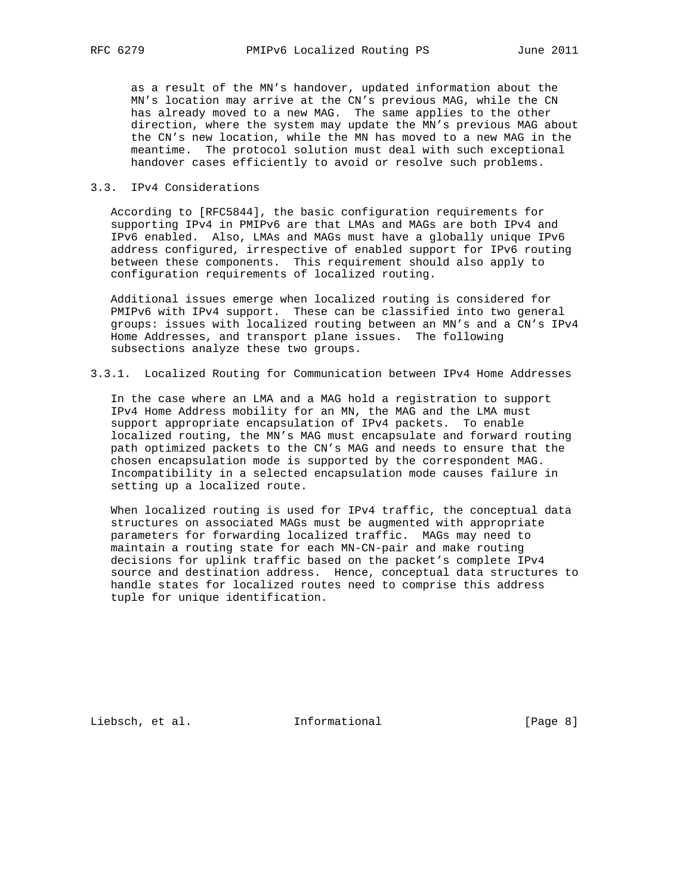as a result of the MN's handover, updated information about the MN's location may arrive at the CN's previous MAG, while the CN has already moved to a new MAG. The same applies to the other direction, where the system may update the MN's previous MAG about the CN's new location, while the MN has moved to a new MAG in the meantime. The protocol solution must deal with such exceptional handover cases efficiently to avoid or resolve such problems.

# 3.3. IPv4 Considerations

 According to [RFC5844], the basic configuration requirements for supporting IPv4 in PMIPv6 are that LMAs and MAGs are both IPv4 and IPv6 enabled. Also, LMAs and MAGs must have a globally unique IPv6 address configured, irrespective of enabled support for IPv6 routing between these components. This requirement should also apply to configuration requirements of localized routing.

 Additional issues emerge when localized routing is considered for PMIPv6 with IPv4 support. These can be classified into two general groups: issues with localized routing between an MN's and a CN's IPv4 Home Addresses, and transport plane issues. The following subsections analyze these two groups.

3.3.1. Localized Routing for Communication between IPv4 Home Addresses

 In the case where an LMA and a MAG hold a registration to support IPv4 Home Address mobility for an MN, the MAG and the LMA must support appropriate encapsulation of IPv4 packets. To enable localized routing, the MN's MAG must encapsulate and forward routing path optimized packets to the CN's MAG and needs to ensure that the chosen encapsulation mode is supported by the correspondent MAG. Incompatibility in a selected encapsulation mode causes failure in setting up a localized route.

 When localized routing is used for IPv4 traffic, the conceptual data structures on associated MAGs must be augmented with appropriate parameters for forwarding localized traffic. MAGs may need to maintain a routing state for each MN-CN-pair and make routing decisions for uplink traffic based on the packet's complete IPv4 source and destination address. Hence, conceptual data structures to handle states for localized routes need to comprise this address tuple for unique identification.

Liebsch, et al. 1nformational [Page 8]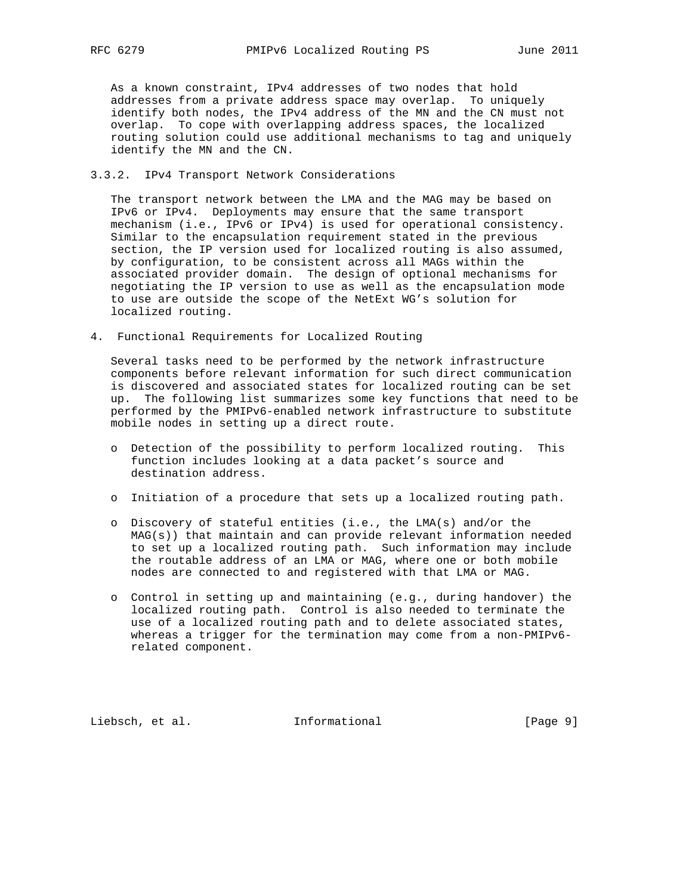As a known constraint, IPv4 addresses of two nodes that hold addresses from a private address space may overlap. To uniquely identify both nodes, the IPv4 address of the MN and the CN must not overlap. To cope with overlapping address spaces, the localized routing solution could use additional mechanisms to tag and uniquely identify the MN and the CN.

# 3.3.2. IPv4 Transport Network Considerations

 The transport network between the LMA and the MAG may be based on IPv6 or IPv4. Deployments may ensure that the same transport mechanism (i.e., IPv6 or IPv4) is used for operational consistency. Similar to the encapsulation requirement stated in the previous section, the IP version used for localized routing is also assumed, by configuration, to be consistent across all MAGs within the associated provider domain. The design of optional mechanisms for negotiating the IP version to use as well as the encapsulation mode to use are outside the scope of the NetExt WG's solution for localized routing.

4. Functional Requirements for Localized Routing

 Several tasks need to be performed by the network infrastructure components before relevant information for such direct communication is discovered and associated states for localized routing can be set up. The following list summarizes some key functions that need to be performed by the PMIPv6-enabled network infrastructure to substitute mobile nodes in setting up a direct route.

- o Detection of the possibility to perform localized routing. This function includes looking at a data packet's source and destination address.
- o Initiation of a procedure that sets up a localized routing path.
- o Discovery of stateful entities (i.e., the LMA(s) and/or the MAG(s)) that maintain and can provide relevant information needed to set up a localized routing path. Such information may include the routable address of an LMA or MAG, where one or both mobile nodes are connected to and registered with that LMA or MAG.
- o Control in setting up and maintaining (e.g., during handover) the localized routing path. Control is also needed to terminate the use of a localized routing path and to delete associated states, whereas a trigger for the termination may come from a non-PMIPv6 related component.

Liebsch, et al. 1nformational [Page 9]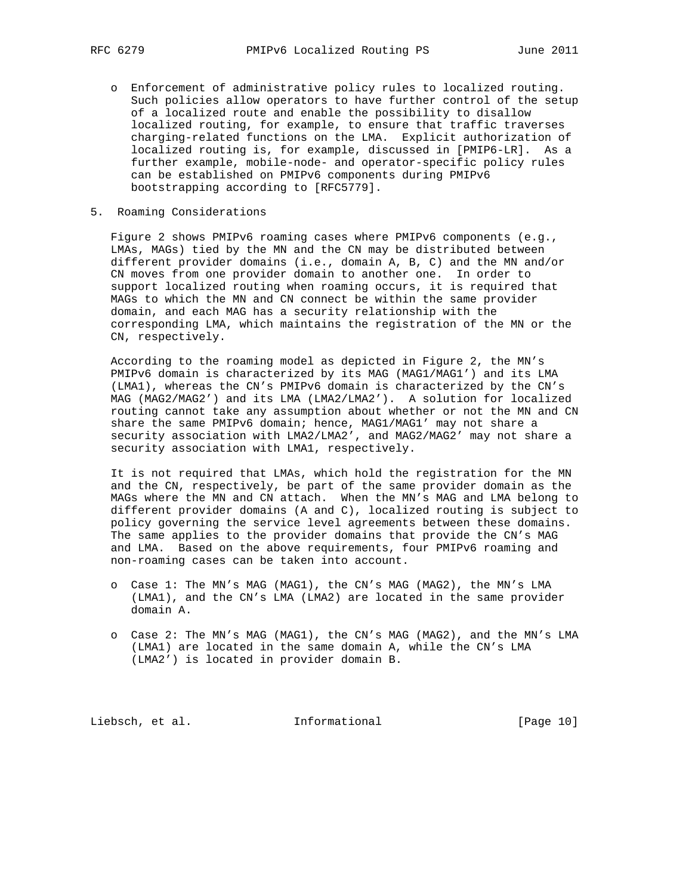- o Enforcement of administrative policy rules to localized routing. Such policies allow operators to have further control of the setup of a localized route and enable the possibility to disallow localized routing, for example, to ensure that traffic traverses charging-related functions on the LMA. Explicit authorization of localized routing is, for example, discussed in [PMIP6-LR]. As a further example, mobile-node- and operator-specific policy rules can be established on PMIPv6 components during PMIPv6 bootstrapping according to [RFC5779].
- 5. Roaming Considerations

 Figure 2 shows PMIPv6 roaming cases where PMIPv6 components (e.g., LMAs, MAGs) tied by the MN and the CN may be distributed between different provider domains (i.e., domain A, B, C) and the MN and/or CN moves from one provider domain to another one. In order to support localized routing when roaming occurs, it is required that MAGs to which the MN and CN connect be within the same provider domain, and each MAG has a security relationship with the corresponding LMA, which maintains the registration of the MN or the CN, respectively.

 According to the roaming model as depicted in Figure 2, the MN's PMIPv6 domain is characterized by its MAG (MAG1/MAG1') and its LMA (LMA1), whereas the CN's PMIPv6 domain is characterized by the CN's MAG (MAG2/MAG2') and its LMA (LMA2/LMA2'). A solution for localized routing cannot take any assumption about whether or not the MN and CN share the same PMIPv6 domain; hence, MAG1/MAG1' may not share a security association with LMA2/LMA2', and MAG2/MAG2' may not share a security association with LMA1, respectively.

 It is not required that LMAs, which hold the registration for the MN and the CN, respectively, be part of the same provider domain as the MAGs where the MN and CN attach. When the MN's MAG and LMA belong to different provider domains (A and C), localized routing is subject to policy governing the service level agreements between these domains. The same applies to the provider domains that provide the CN's MAG and LMA. Based on the above requirements, four PMIPv6 roaming and non-roaming cases can be taken into account.

- o Case 1: The MN's MAG (MAG1), the CN's MAG (MAG2), the MN's LMA (LMA1), and the CN's LMA (LMA2) are located in the same provider domain A.
- o Case 2: The MN's MAG (MAG1), the CN's MAG (MAG2), and the MN's LMA (LMA1) are located in the same domain A, while the CN's LMA (LMA2') is located in provider domain B.

Liebsch, et al. 1nformational [Page 10]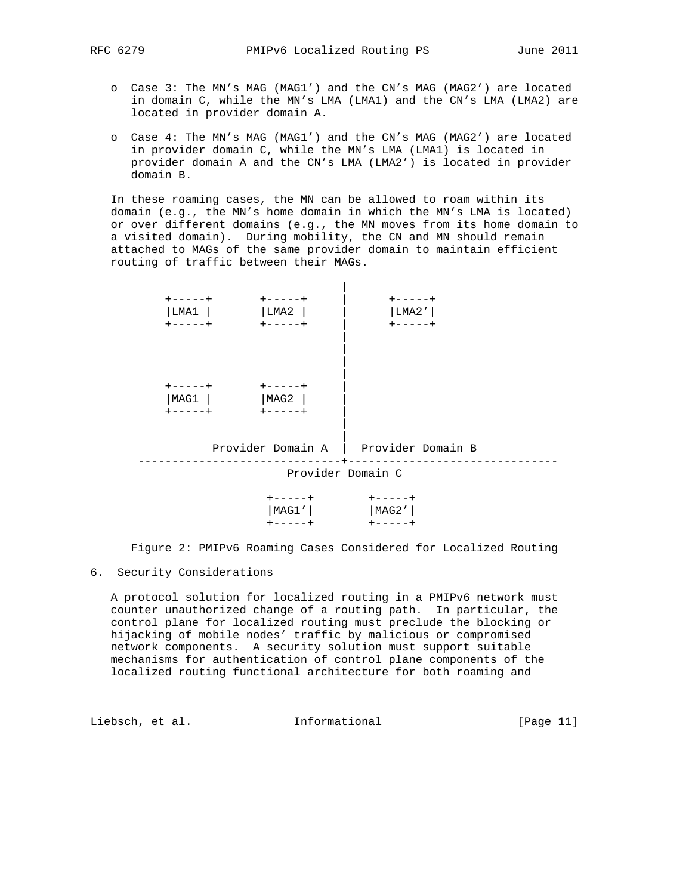- o Case 3: The MN's MAG (MAG1') and the CN's MAG (MAG2') are located in domain C, while the MN's LMA (LMA1) and the CN's LMA (LMA2) are located in provider domain A.
- o Case 4: The MN's MAG (MAG1') and the CN's MAG (MAG2') are located in provider domain C, while the MN's LMA (LMA1) is located in provider domain A and the CN's LMA (LMA2') is located in provider domain B.

 In these roaming cases, the MN can be allowed to roam within its domain (e.g., the MN's home domain in which the MN's LMA is located) or over different domains (e.g., the MN moves from its home domain to a visited domain). During mobility, the CN and MN should remain attached to MAGs of the same provider domain to maintain efficient routing of traffic between their MAGs.

| $+ - - - - +$<br>LMA1<br>$+ - - - - +$ | $+ - - - - +$<br>LMA2<br>$+ - - - - - +$ | $+ - - - - +$<br>LMA2'<br>$+ - - - - +$ |                   |  |  |  |
|----------------------------------------|------------------------------------------|-----------------------------------------|-------------------|--|--|--|
| $+ - - - - +$<br>MAG1<br>$+ - - - - +$ | $+ - - - - +$<br>MAG2<br>+-----+         |                                         |                   |  |  |  |
| Provider Domain A                      |                                          |                                         | Provider Domain B |  |  |  |
| Provider Domain C                      |                                          |                                         |                   |  |  |  |
|                                        | $+ - - - - +$<br>MAG1'                   | $+ - - - - +$<br>MAG2'                  |                   |  |  |  |

Figure 2: PMIPv6 Roaming Cases Considered for Localized Routing

## 6. Security Considerations

+-----+ +-----+

 A protocol solution for localized routing in a PMIPv6 network must counter unauthorized change of a routing path. In particular, the control plane for localized routing must preclude the blocking or hijacking of mobile nodes' traffic by malicious or compromised network components. A security solution must support suitable mechanisms for authentication of control plane components of the localized routing functional architecture for both roaming and

Liebsch, et al. 1nformational [Page 11]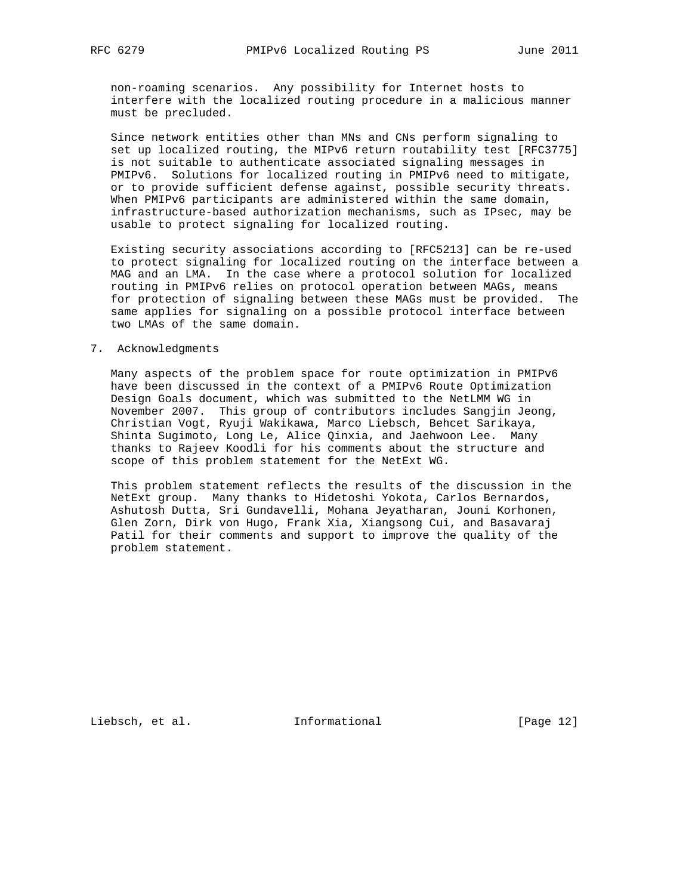non-roaming scenarios. Any possibility for Internet hosts to interfere with the localized routing procedure in a malicious manner must be precluded.

 Since network entities other than MNs and CNs perform signaling to set up localized routing, the MIPv6 return routability test [RFC3775] is not suitable to authenticate associated signaling messages in PMIPv6. Solutions for localized routing in PMIPv6 need to mitigate, or to provide sufficient defense against, possible security threats. When PMIPv6 participants are administered within the same domain, infrastructure-based authorization mechanisms, such as IPsec, may be usable to protect signaling for localized routing.

 Existing security associations according to [RFC5213] can be re-used to protect signaling for localized routing on the interface between a MAG and an LMA. In the case where a protocol solution for localized routing in PMIPv6 relies on protocol operation between MAGs, means for protection of signaling between these MAGs must be provided. The same applies for signaling on a possible protocol interface between two LMAs of the same domain.

## 7. Acknowledgments

 Many aspects of the problem space for route optimization in PMIPv6 have been discussed in the context of a PMIPv6 Route Optimization Design Goals document, which was submitted to the NetLMM WG in November 2007. This group of contributors includes Sangjin Jeong, Christian Vogt, Ryuji Wakikawa, Marco Liebsch, Behcet Sarikaya, Shinta Sugimoto, Long Le, Alice Qinxia, and Jaehwoon Lee. Many thanks to Rajeev Koodli for his comments about the structure and scope of this problem statement for the NetExt WG.

 This problem statement reflects the results of the discussion in the NetExt group. Many thanks to Hidetoshi Yokota, Carlos Bernardos, Ashutosh Dutta, Sri Gundavelli, Mohana Jeyatharan, Jouni Korhonen, Glen Zorn, Dirk von Hugo, Frank Xia, Xiangsong Cui, and Basavaraj Patil for their comments and support to improve the quality of the problem statement.

Liebsch, et al. 1nformational [Page 12]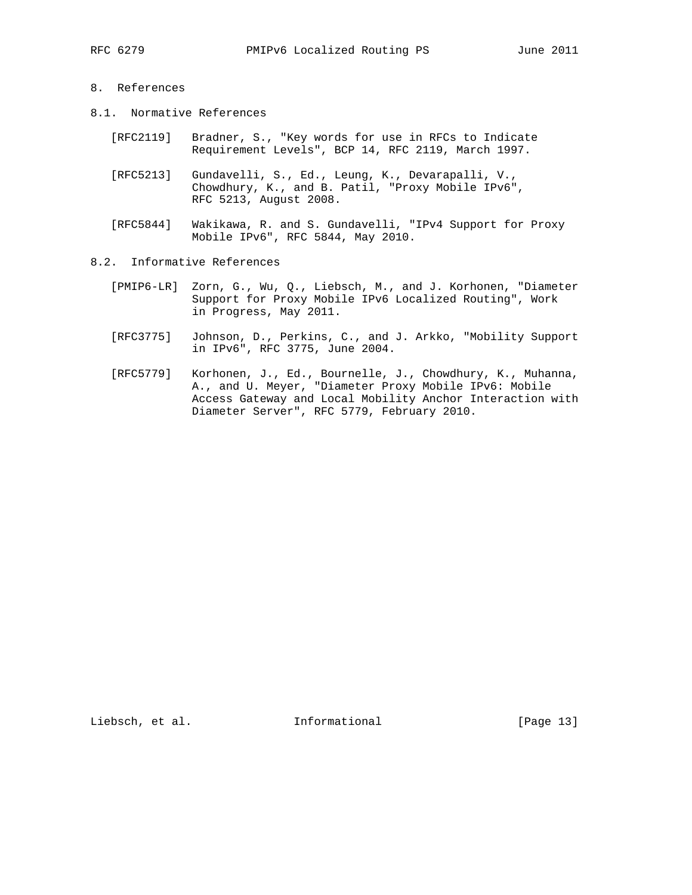# 8. References

- 8.1. Normative References
	- [RFC2119] Bradner, S., "Key words for use in RFCs to Indicate Requirement Levels", BCP 14, RFC 2119, March 1997.
	- [RFC5213] Gundavelli, S., Ed., Leung, K., Devarapalli, V., Chowdhury, K., and B. Patil, "Proxy Mobile IPv6", RFC 5213, August 2008.
	- [RFC5844] Wakikawa, R. and S. Gundavelli, "IPv4 Support for Proxy Mobile IPv6", RFC 5844, May 2010.
- 8.2. Informative References
	- [PMIP6-LR] Zorn, G., Wu, Q., Liebsch, M., and J. Korhonen, "Diameter Support for Proxy Mobile IPv6 Localized Routing", Work in Progress, May 2011.
	- [RFC3775] Johnson, D., Perkins, C., and J. Arkko, "Mobility Support in IPv6", RFC 3775, June 2004.
	- [RFC5779] Korhonen, J., Ed., Bournelle, J., Chowdhury, K., Muhanna, A., and U. Meyer, "Diameter Proxy Mobile IPv6: Mobile Access Gateway and Local Mobility Anchor Interaction with Diameter Server", RFC 5779, February 2010.

Liebsch, et al. 1nformational [Page 13]